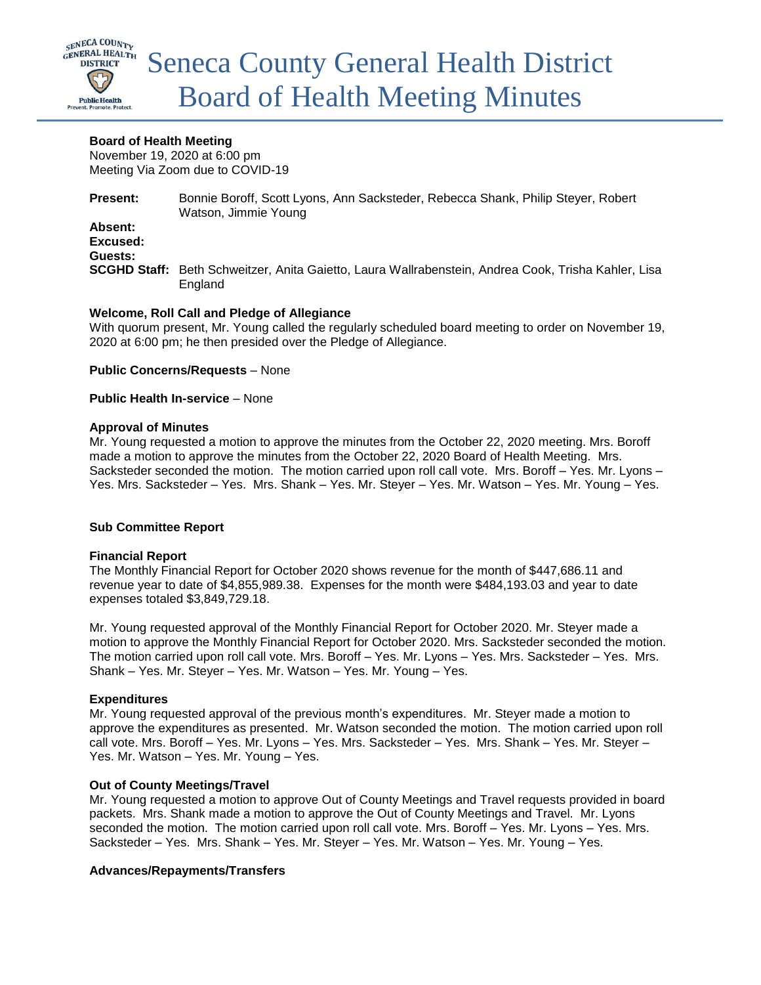

### **Board of Health Meeting**

November 19, 2020 at 6:00 pm Meeting Via Zoom due to COVID-19

**Present:** Bonnie Boroff, Scott Lyons, Ann Sacksteder, Rebecca Shank, Philip Steyer, Robert Watson, Jimmie Young

**Absent: Excused: Guests:**

**SCGHD Staff:** Beth Schweitzer, Anita Gaietto, Laura Wallrabenstein, Andrea Cook, Trisha Kahler, Lisa England

### **Welcome, Roll Call and Pledge of Allegiance**

With quorum present, Mr. Young called the regularly scheduled board meeting to order on November 19, 2020 at 6:00 pm; he then presided over the Pledge of Allegiance.

**Public Concerns/Requests** – None

**Public Health In-service** – None

### **Approval of Minutes**

Mr. Young requested a motion to approve the minutes from the October 22, 2020 meeting. Mrs. Boroff made a motion to approve the minutes from the October 22, 2020 Board of Health Meeting. Mrs. Sacksteder seconded the motion. The motion carried upon roll call vote. Mrs. Boroff – Yes. Mr. Lyons – Yes. Mrs. Sacksteder – Yes. Mrs. Shank – Yes. Mr. Steyer – Yes. Mr. Watson – Yes. Mr. Young – Yes.

### **Sub Committee Report**

### **Financial Report**

The Monthly Financial Report for October 2020 shows revenue for the month of \$447,686.11 and revenue year to date of \$4,855,989.38. Expenses for the month were \$484,193.03 and year to date expenses totaled \$3,849,729.18.

Mr. Young requested approval of the Monthly Financial Report for October 2020. Mr. Steyer made a motion to approve the Monthly Financial Report for October 2020. Mrs. Sacksteder seconded the motion. The motion carried upon roll call vote. Mrs. Boroff – Yes. Mr. Lyons – Yes. Mrs. Sacksteder – Yes. Mrs. Shank – Yes. Mr. Steyer – Yes. Mr. Watson – Yes. Mr. Young – Yes.

### **Expenditures**

Mr. Young requested approval of the previous month's expenditures. Mr. Steyer made a motion to approve the expenditures as presented. Mr. Watson seconded the motion. The motion carried upon roll call vote. Mrs. Boroff – Yes. Mr. Lyons – Yes. Mrs. Sacksteder – Yes. Mrs. Shank – Yes. Mr. Steyer – Yes. Mr. Watson – Yes. Mr. Young – Yes.

### **Out of County Meetings/Travel**

Mr. Young requested a motion to approve Out of County Meetings and Travel requests provided in board packets. Mrs. Shank made a motion to approve the Out of County Meetings and Travel. Mr. Lyons seconded the motion. The motion carried upon roll call vote. Mrs. Boroff – Yes. Mr. Lyons – Yes. Mrs. Sacksteder – Yes. Mrs. Shank – Yes. Mr. Steyer – Yes. Mr. Watson – Yes. Mr. Young – Yes.

### **Advances/Repayments/Transfers**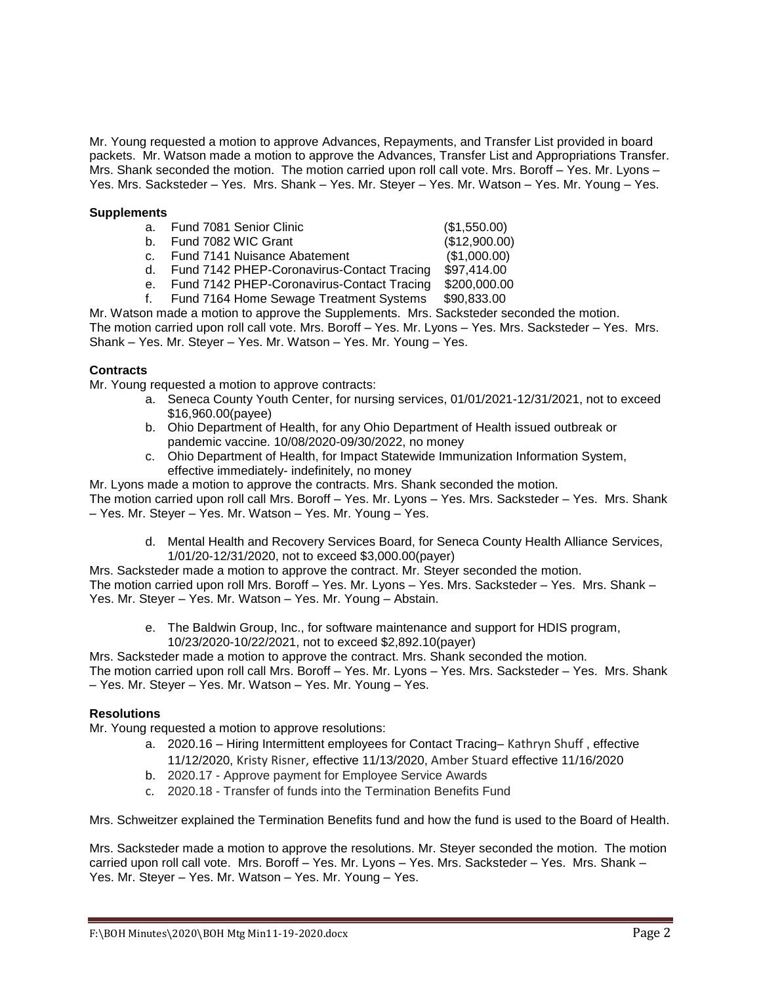Mr. Young requested a motion to approve Advances, Repayments, and Transfer List provided in board packets. Mr. Watson made a motion to approve the Advances, Transfer List and Appropriations Transfer. Mrs. Shank seconded the motion. The motion carried upon roll call vote. Mrs. Boroff – Yes. Mr. Lyons – Yes. Mrs. Sacksteder – Yes. Mrs. Shank – Yes. Mr. Steyer – Yes. Mr. Watson – Yes. Mr. Young – Yes.

#### **Supplements**

|         | a. Fund 7081 Senior Clinic                    | (\$1,550.00)  |
|---------|-----------------------------------------------|---------------|
| b.      | Fund 7082 WIC Grant                           | (\$12,900.00) |
|         | c. Fund 7141 Nuisance Abatement               | (\$1,000.00)  |
|         | d. Fund 7142 PHEP-Coronavirus-Contact Tracing | \$97,414.00   |
| $e_{1}$ | Fund 7142 PHEP-Coronavirus-Contact Tracing    | \$200,000.00  |
| f.      | Fund 7164 Home Sewage Treatment Systems       | \$90,833.00   |

Mr. Watson made a motion to approve the Supplements. Mrs. Sacksteder seconded the motion. The motion carried upon roll call vote. Mrs. Boroff – Yes. Mr. Lyons – Yes. Mrs. Sacksteder – Yes. Mrs. Shank – Yes. Mr. Steyer – Yes. Mr. Watson – Yes. Mr. Young – Yes.

### **Contracts**

Mr. Young requested a motion to approve contracts:

- a. Seneca County Youth Center, for nursing services, 01/01/2021-12/31/2021, not to exceed \$16,960.00(payee)
- b. Ohio Department of Health, for any Ohio Department of Health issued outbreak or pandemic vaccine. 10/08/2020-09/30/2022, no money
- c. Ohio Department of Health, for Impact Statewide Immunization Information System, effective immediately- indefinitely, no money

Mr. Lyons made a motion to approve the contracts. Mrs. Shank seconded the motion.

The motion carried upon roll call Mrs. Boroff – Yes. Mr. Lyons – Yes. Mrs. Sacksteder – Yes. Mrs. Shank – Yes. Mr. Steyer – Yes. Mr. Watson – Yes. Mr. Young – Yes.

d. Mental Health and Recovery Services Board, for Seneca County Health Alliance Services, 1/01/20-12/31/2020, not to exceed \$3,000.00(payer)

Mrs. Sacksteder made a motion to approve the contract. Mr. Steyer seconded the motion. The motion carried upon roll Mrs. Boroff – Yes. Mr. Lyons – Yes. Mrs. Sacksteder – Yes. Mrs. Shank – Yes. Mr. Steyer – Yes. Mr. Watson – Yes. Mr. Young – Abstain.

e. The Baldwin Group, Inc., for software maintenance and support for HDIS program, 10/23/2020-10/22/2021, not to exceed \$2,892.10(payer)

Mrs. Sacksteder made a motion to approve the contract. Mrs. Shank seconded the motion.

The motion carried upon roll call Mrs. Boroff – Yes. Mr. Lyons – Yes. Mrs. Sacksteder – Yes. Mrs. Shank – Yes. Mr. Steyer – Yes. Mr. Watson – Yes. Mr. Young – Yes.

### **Resolutions**

Mr. Young requested a motion to approve resolutions:

- a. 2020.16 Hiring Intermittent employees for Contact Tracing– Kathryn Shuff , effective 11/12/2020, Kristy Risner, effective 11/13/2020, Amber Stuard effective 11/16/2020
- b. 2020.17 Approve payment for Employee Service Awards
- c. 2020.18 Transfer of funds into the Termination Benefits Fund

Mrs. Schweitzer explained the Termination Benefits fund and how the fund is used to the Board of Health.

Mrs. Sacksteder made a motion to approve the resolutions. Mr. Steyer seconded the motion. The motion carried upon roll call vote. Mrs. Boroff – Yes. Mr. Lyons – Yes. Mrs. Sacksteder – Yes. Mrs. Shank – Yes. Mr. Steyer – Yes. Mr. Watson – Yes. Mr. Young – Yes.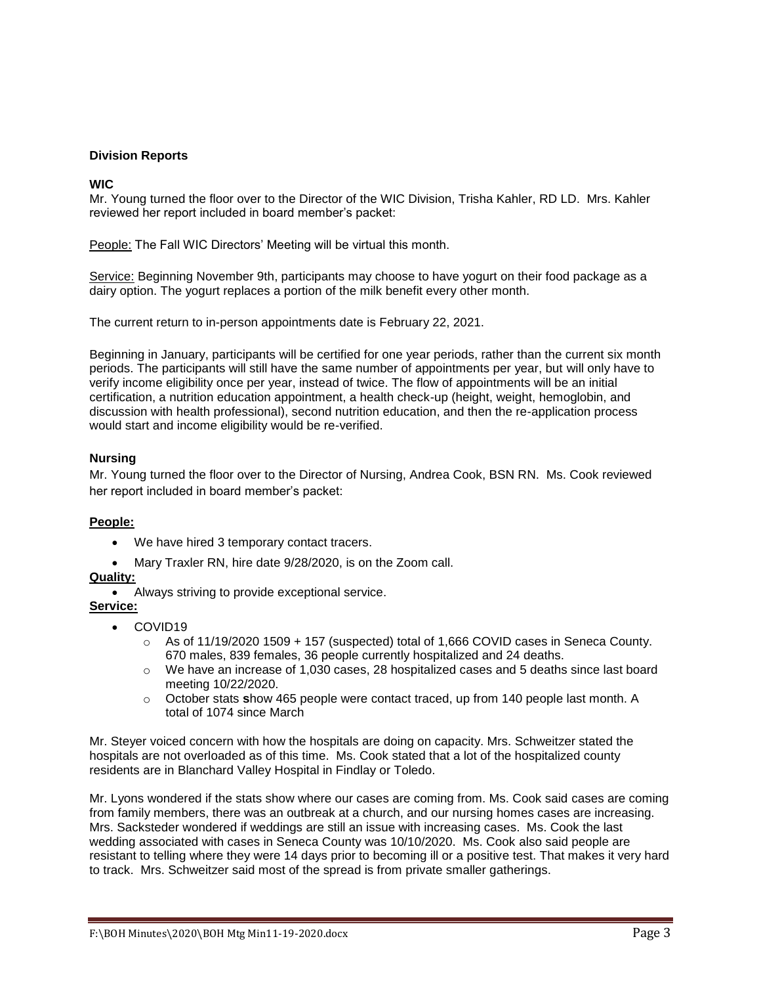### **Division Reports**

## **WIC**

Mr. Young turned the floor over to the Director of the WIC Division, Trisha Kahler, RD LD. Mrs. Kahler reviewed her report included in board member's packet:

People: The Fall WIC Directors' Meeting will be virtual this month.

Service: Beginning November 9th, participants may choose to have yogurt on their food package as a dairy option. The yogurt replaces a portion of the milk benefit every other month.

The current return to in-person appointments date is February 22, 2021.

Beginning in January, participants will be certified for one year periods, rather than the current six month periods. The participants will still have the same number of appointments per year, but will only have to verify income eligibility once per year, instead of twice. The flow of appointments will be an initial certification, a nutrition education appointment, a health check-up (height, weight, hemoglobin, and discussion with health professional), second nutrition education, and then the re-application process would start and income eligibility would be re-verified.

### **Nursing**

Mr. Young turned the floor over to the Director of Nursing, Andrea Cook, BSN RN. Ms. Cook reviewed her report included in board member's packet:

### **People:**

- We have hired 3 temporary contact tracers.
- Mary Traxler RN, hire date 9/28/2020, is on the Zoom call.

## **Quality:**

Always striving to provide exceptional service.

### **Service:**

- COVID19
	- $\circ$  As of 11/19/2020 1509 + 157 (suspected) total of 1,666 COVID cases in Seneca County. 670 males, 839 females, 36 people currently hospitalized and 24 deaths.
	- o We have an increase of 1,030 cases, 28 hospitalized cases and 5 deaths since last board meeting 10/22/2020.
	- o October stats **s**how 465 people were contact traced, up from 140 people last month. A total of 1074 since March

Mr. Steyer voiced concern with how the hospitals are doing on capacity. Mrs. Schweitzer stated the hospitals are not overloaded as of this time. Ms. Cook stated that a lot of the hospitalized county residents are in Blanchard Valley Hospital in Findlay or Toledo.

Mr. Lyons wondered if the stats show where our cases are coming from. Ms. Cook said cases are coming from family members, there was an outbreak at a church, and our nursing homes cases are increasing. Mrs. Sacksteder wondered if weddings are still an issue with increasing cases. Ms. Cook the last wedding associated with cases in Seneca County was 10/10/2020. Ms. Cook also said people are resistant to telling where they were 14 days prior to becoming ill or a positive test. That makes it very hard to track. Mrs. Schweitzer said most of the spread is from private smaller gatherings.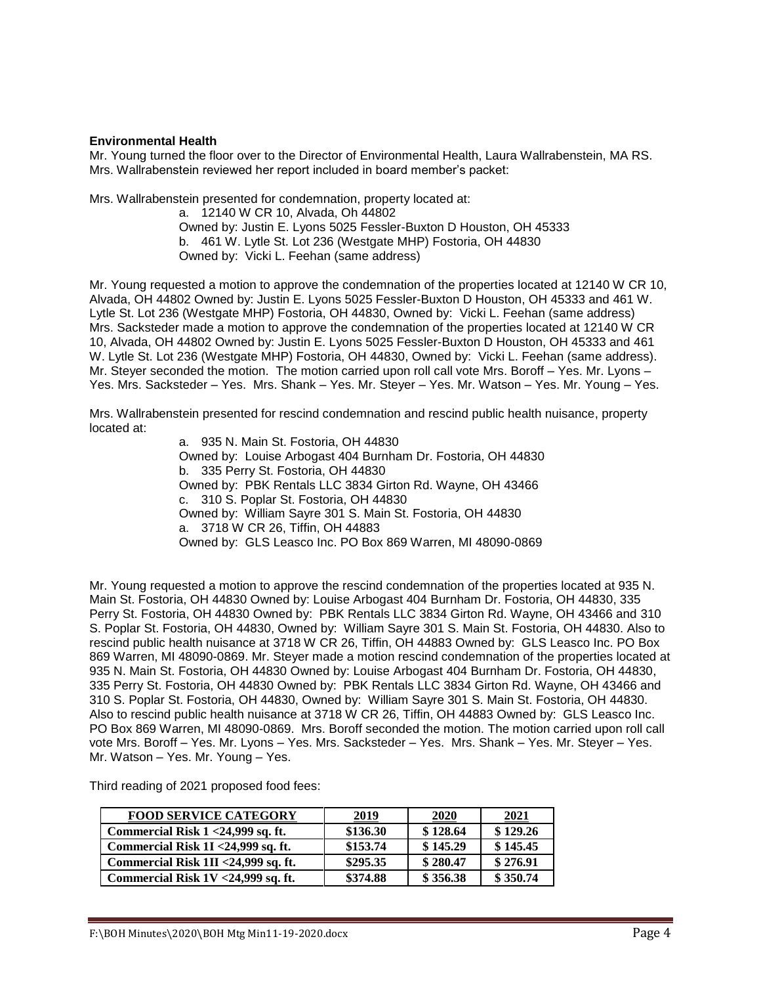### **Environmental Health**

Mr. Young turned the floor over to the Director of Environmental Health, Laura Wallrabenstein, MA RS. Mrs. Wallrabenstein reviewed her report included in board member's packet:

Mrs. Wallrabenstein presented for condemnation, property located at:

a. 12140 W CR 10, Alvada, Oh 44802 Owned by: Justin E. Lyons 5025 Fessler-Buxton D Houston, OH 45333 b. 461 W. Lytle St. Lot 236 (Westgate MHP) Fostoria, OH 44830 Owned by: Vicki L. Feehan (same address)

Mr. Young requested a motion to approve the condemnation of the properties located at 12140 W CR 10, Alvada, OH 44802 Owned by: Justin E. Lyons 5025 Fessler-Buxton D Houston, OH 45333 and 461 W. Lytle St. Lot 236 (Westgate MHP) Fostoria, OH 44830, Owned by: Vicki L. Feehan (same address) Mrs. Sacksteder made a motion to approve the condemnation of the properties located at 12140 W CR 10, Alvada, OH 44802 Owned by: Justin E. Lyons 5025 Fessler-Buxton D Houston, OH 45333 and 461 W. Lytle St. Lot 236 (Westgate MHP) Fostoria, OH 44830, Owned by: Vicki L. Feehan (same address). Mr. Steyer seconded the motion. The motion carried upon roll call vote Mrs. Boroff – Yes. Mr. Lyons – Yes. Mrs. Sacksteder – Yes. Mrs. Shank – Yes. Mr. Steyer – Yes. Mr. Watson – Yes. Mr. Young – Yes.

Mrs. Wallrabenstein presented for rescind condemnation and rescind public health nuisance, property located at:

> a. 935 N. Main St. Fostoria, OH 44830 Owned by: Louise Arbogast 404 Burnham Dr. Fostoria, OH 44830 b. 335 Perry St. Fostoria, OH 44830 Owned by: PBK Rentals LLC 3834 Girton Rd. Wayne, OH 43466 c. 310 S. Poplar St. Fostoria, OH 44830 Owned by: William Sayre 301 S. Main St. Fostoria, OH 44830 a. 3718 W CR 26, Tiffin, OH 44883 Owned by: GLS Leasco Inc. PO Box 869 Warren, MI 48090-0869

Mr. Young requested a motion to approve the rescind condemnation of the properties located at 935 N. Main St. Fostoria, OH 44830 Owned by: Louise Arbogast 404 Burnham Dr. Fostoria, OH 44830, 335 Perry St. Fostoria, OH 44830 Owned by: PBK Rentals LLC 3834 Girton Rd. Wayne, OH 43466 and 310 S. Poplar St. Fostoria, OH 44830, Owned by: William Sayre 301 S. Main St. Fostoria, OH 44830. Also to rescind public health nuisance at 3718 W CR 26, Tiffin, OH 44883 Owned by: GLS Leasco Inc. PO Box 869 Warren, MI 48090-0869. Mr. Steyer made a motion rescind condemnation of the properties located at 935 N. Main St. Fostoria, OH 44830 Owned by: Louise Arbogast 404 Burnham Dr. Fostoria, OH 44830, 335 Perry St. Fostoria, OH 44830 Owned by: PBK Rentals LLC 3834 Girton Rd. Wayne, OH 43466 and 310 S. Poplar St. Fostoria, OH 44830, Owned by: William Sayre 301 S. Main St. Fostoria, OH 44830. Also to rescind public health nuisance at 3718 W CR 26, Tiffin, OH 44883 Owned by: GLS Leasco Inc. PO Box 869 Warren, MI 48090-0869. Mrs. Boroff seconded the motion. The motion carried upon roll call vote Mrs. Boroff – Yes. Mr. Lyons – Yes. Mrs. Sacksteder – Yes. Mrs. Shank – Yes. Mr. Steyer – Yes. Mr. Watson – Yes. Mr. Young – Yes.

Third reading of 2021 proposed food fees:

| <b>FOOD SERVICE CATEGORY</b>         | 2019     | 2020     | 2021     |
|--------------------------------------|----------|----------|----------|
| Commercial Risk $1 < 24,999$ sq. ft. | \$136.30 | \$128.64 | \$129.26 |
| Commercial Risk 1I <24,999 sq. ft.   | \$153.74 | \$145.29 | \$145.45 |
| Commercial Risk 1II <24,999 sq. ft.  | \$295.35 | \$280.47 | \$276.91 |
| Commercial Risk 1V <24,999 sq. ft.   | \$374.88 | \$356.38 | \$350.74 |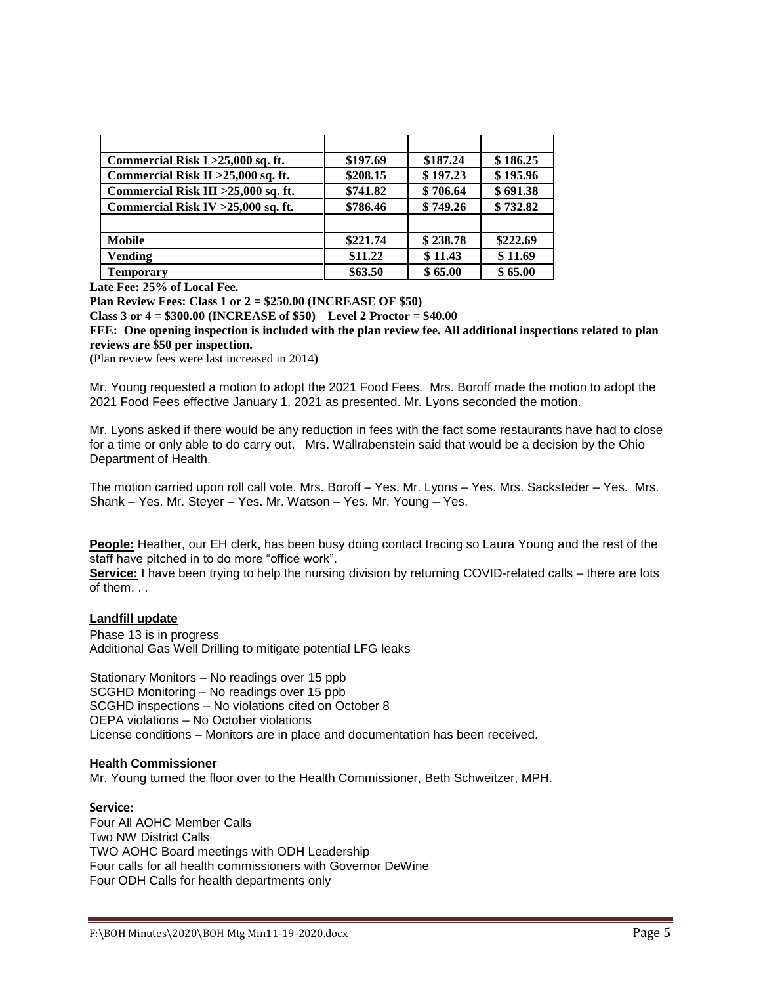| Commercial Risk $I > 25,000$ sq. ft. | \$197.69 | \$187.24 | \$186.25 |
|--------------------------------------|----------|----------|----------|
| Commercial Risk II > 25,000 sq. ft.  | \$208.15 | \$197.23 | \$195.96 |
| Commercial Risk III > 25,000 sq. ft. | \$741.82 | \$706.64 | \$691.38 |
| Commercial Risk IV > 25,000 sq. ft.  | \$786.46 | \$749.26 | \$732.82 |
|                                      |          |          |          |
| <b>Mobile</b>                        | \$221.74 | \$238.78 | \$222.69 |
| <b>Vending</b>                       | \$11.22  | \$11.43  | \$11.69  |
| <b>Temporary</b>                     | \$63.50  | \$65.00  | \$65.00  |

**Late Fee: 25% of Local Fee.**

**Plan Review Fees: Class 1 or 2 = \$250.00 (INCREASE OF \$50)**

**Class 3 or 4 = \$300.00 (INCREASE of \$50) Level 2 Proctor = \$40.00**

**FEE: One opening inspection is included with the plan review fee. All additional inspections related to plan reviews are \$50 per inspection.**

**(**Plan review fees were last increased in 2014**)**

Mr. Young requested a motion to adopt the 2021 Food Fees. Mrs. Boroff made the motion to adopt the 2021 Food Fees effective January 1, 2021 as presented. Mr. Lyons seconded the motion.

Mr. Lyons asked if there would be any reduction in fees with the fact some restaurants have had to close for a time or only able to do carry out. Mrs. Wallrabenstein said that would be a decision by the Ohio Department of Health.

The motion carried upon roll call vote. Mrs. Boroff – Yes. Mr. Lyons – Yes. Mrs. Sacksteder – Yes. Mrs. Shank – Yes. Mr. Steyer – Yes. Mr. Watson – Yes. Mr. Young – Yes.

**People:** Heather, our EH clerk, has been busy doing contact tracing so Laura Young and the rest of the staff have pitched in to do more "office work".

**Service:** I have been trying to help the nursing division by returning COVID-related calls – there are lots of them. . .

### **Landfill update**

Phase 13 is in progress Additional Gas Well Drilling to mitigate potential LFG leaks

Stationary Monitors – No readings over 15 ppb SCGHD Monitoring – No readings over 15 ppb SCGHD inspections – No violations cited on October 8 OEPA violations – No October violations License conditions – Monitors are in place and documentation has been received.

#### **Health Commissioner**

Mr. Young turned the floor over to the Health Commissioner, Beth Schweitzer, MPH.

### **Service:**

Four All AOHC Member Calls Two NW District Calls TWO AOHC Board meetings with ODH Leadership Four calls for all health commissioners with Governor DeWine Four ODH Calls for health departments only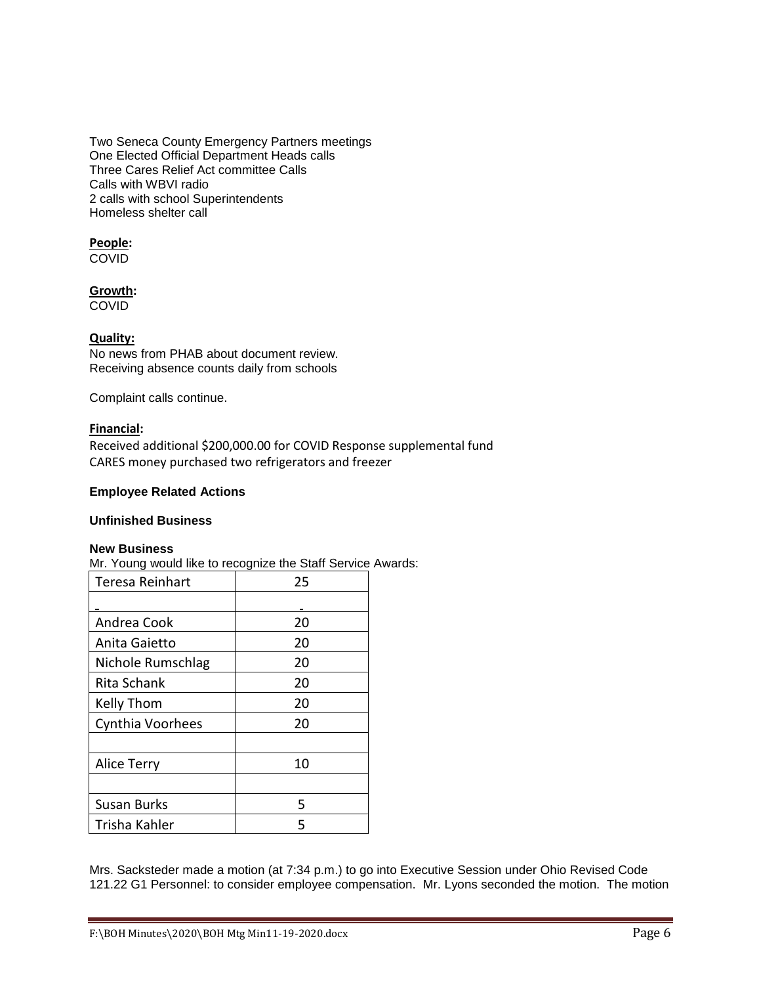Two Seneca County Emergency Partners meetings One Elected Official Department Heads calls Three Cares Relief Act committee Calls Calls with WBVI radio 2 calls with school Superintendents Homeless shelter call

# **People:**

COVID

## **Growth:**

COVID

## **Quality:**

No news from PHAB about document review. Receiving absence counts daily from schools

Complaint calls continue.

## **Financial:**

Received additional \$200,000.00 for COVID Response supplemental fund CARES money purchased two refrigerators and freezer

## **Employee Related Actions**

# **Unfinished Business**

### **New Business**

Mr. Young would like to recognize the Staff Service Awards:

| <b>Teresa Reinhart</b> | 25 |  |
|------------------------|----|--|
|                        |    |  |
| Andrea Cook            | 20 |  |
| Anita Gaietto          | 20 |  |
| Nichole Rumschlag      | 20 |  |
| Rita Schank            | 20 |  |
| Kelly Thom             | 20 |  |
| Cynthia Voorhees       | 20 |  |
|                        |    |  |
| <b>Alice Terry</b>     | 10 |  |
|                        |    |  |
| <b>Susan Burks</b>     | 5  |  |
| Trisha Kahler          | 5  |  |

Mrs. Sacksteder made a motion (at 7:34 p.m.) to go into Executive Session under Ohio Revised Code 121.22 G1 Personnel: to consider employee compensation. Mr. Lyons seconded the motion. The motion